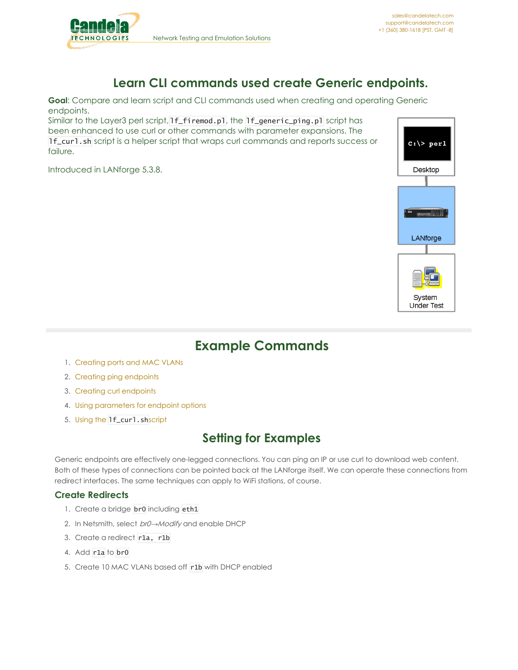

## **Learn CLI commands used create Generic endpoints.**

**Goal**: Compare and learn script and CLI commands used when creating and operating Generic endpoints.

Similar to the Layer3 perl script, If\_firemod.pl, the If\_generic\_ping.pl script has been enhanced to use curl or other commands with parameter expansions. The lf\_curl.sh script is a helper script that wraps curl commands and reports success or failure.

Introduced in LANforge 5.3.8.



# **Example Commands**

- 1. [Creating](#page-0-0) ports and MAC VLANs
- 2. Creating ping [endpoints](#page-1-0)
- 3. Creating curl [endpoints](#page-1-1)
- 4. Using [parameters](#page-2-0) for endpoint options
- 5. Using the [lf\\_curl.sh](#page-2-1)script

## **Setting for Examples**

Generic endpoints are effectively one-legged connections. You can ping an IP or use curl to download web content. Both of these types of connections can be pointed back at the LANforge itself. We can operate these connections from redirect interfaces. The same techniques can apply to WiFi stations, of course.

### <span id="page-0-0"></span>**Create Redirects**

- 1. Create a bridge **br0** including eth1
- 2. In Netsmith, select *br0→Modify* and enable DHCP
- 3. Create a redirect r1a, r1b
- 4. Add r1a to br0
- 5. Create 10 MAC VLANs based off r1b with DHCP enabled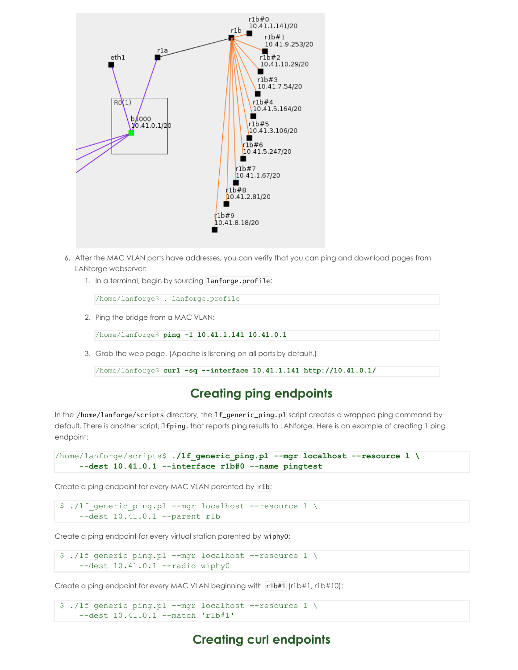

- 6. After the MAC VLAN ports have addresses, you can verify that you can ping and download pages from LANforge webserver:
	- 1. In a terminal, begin by sourcing lanforge.profile:

/home/lanforge\$ **.** lanforge.profile

2. Ping the bridge from a MAC VLAN:

/home/lanforge\$ **ping -I 10.41.1.141 10.41.0.1**

3. Grab the web page. (Apache is listening on all ports by default.)

```
/home/lanforge$ curl -sq --interface 10.41.1.141 http://10.41.0.1/
```
### **Creating ping endpoints**

<span id="page-1-0"></span>In the /home/lanforge/scripts directory, the lf\_generic\_ping.pl script creates a wrapped ping command by default. There is another script, lfping, that reports ping results to LANforge. Here is an example of creating 1 ping endpoint:

```
/home/lanforge/scripts$ ./lf_generic_ping.pl --mgr localhost --resource 1 \
 --dest 10.41.0.1 --interface r1b#0 --name pingtest
```
Create a ping endpoint for every MAC VLAN parented by r1b:

```
$ ./lf generic ping.pl --mgr localhost --resource 1 \setminus--dest 10.41.0.1 --parent r1b
```
Create a ping endpoint for every virtual station parented by wiphy0:

```
$ ./lf generic ping.pl --mgr localhost --resource 1 \setminus--dest 10.41.0.1 --radio wiphy0
```
Create a ping endpoint for every MAC VLAN beginning with r1b#1 (r1b#1, r1b#10):

```
$ ./lf_generic_ping.pl --mgr localhost --resource 1 \
--dest 10.41.0.1 --match 'r1b#1'
```
### **Creating curl endpoints**